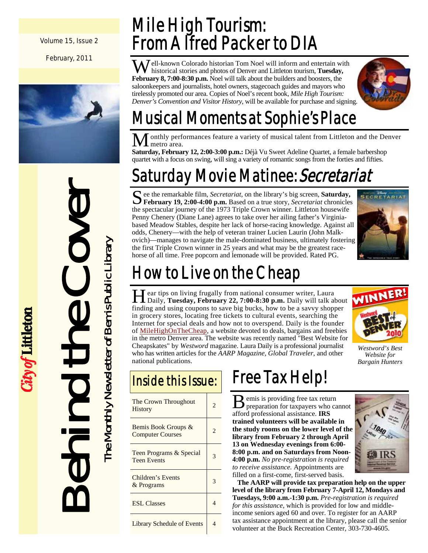Volume 15, Issue 2

February, 2011



Behind the Cover The Monthly Newsletter of Bemis Public Library The Monthly Newsletter of Bemis Public Library

*City of* Littleton

### Mile High Tourism: From Alfred Packer to DIA

Well-known Colorado historian Tom Noel will inform and entertain with historical stories and photos of Denver and Littleton tourism, **Tuesday, February 8, 7:00-8:30 p.m.** Noel will talk about the builders and boosters, the saloonkeepers and journalists, hotel owners, stagecoach guides and mayors who tirelessly promoted our area. Copies of Noel's recent book, *Mile High Tourism: Denver's Convention and Visitor History*, will be available for purchase and signing.



## Musical Moments at Sophie's Place

onthly performances feature a variety of musical talent from Littleton and the Denver metro area.

**Saturday, February 12, 2:00-3:00 p.m.:** Déjà Vu Sweet Adeline Quartet, a female barbershop quartet with a focus on swing, will sing a variety of romantic songs from the forties and fifties.

## Saturday Movie Matinee: Secretariat

See the remarkable film, *Secretariat*, on the library's big screen, **Saturday,**<br>**February 19, 2:00-4:00 p.m.** Based on a true story, *Secretariat* chronicles the spectacular journey of the 1973 Triple Crown winner. Littleton housewife Penny Chenery (Diane Lane) agrees to take over her ailing father's Virginiabased Meadow Stables, despite her lack of horse-racing knowledge. Against all odds, Chenery—with the help of veteran trainer Lucien Laurin (John Malkovich)—manages to navigate the male-dominated business, ultimately fostering the first Triple Crown winner in 25 years and what may be the greatest racehorse of all time. Free popcorn and lemonade will be provided. Rated PG.



## How to Live on the Cheap

H ear tips on living frugally from national consumer writer, Laura<br>
Daily, **Tuesday, February 22, 7:00-8:30 p.m.** Daily will talk about finding and using coupons to save big bucks, how to be a savvy shopper in grocery stores, locating free tickets to cultural events, searching the Internet for special deals and how not to overspend. Daily is the founder of MileHighOnTheCheap, a website devoted to deals, bargains and freebies in the metro Denver area. The website was recently named "Best Website for Cheapskates" by *Westword* magazine. Laura Daily is a professional journalist who has written articles for the *AARP Magazine*, *Global Traveler*, and other national publications.



*Westword's Best Website for Bargain Hunters* 

| The Crown Throughout<br><b>History</b>         |  |
|------------------------------------------------|--|
| Bemis Book Groups &<br><b>Computer Courses</b> |  |
| Teen Programs & Special<br><b>Teen Events</b>  |  |
| Children's Events<br>& Programs                |  |
| <b>ESL</b> Classes                             |  |
| <b>Library Schedule of Events</b>              |  |

## **Inside this Issue:** Free Tax Help!

**B** emis is providing free tax return<br>preparation for taxpayers who cannot afford professional assistance. **IRS trained volunteers will be available in the study rooms on the lower level of the library from February 2 through April 13 on Wednesday evenings from 6:00- 8:00 p.m. and on Saturdays from Noon-4:00 p.m.** *No pre-registration is required to receive assistance.* Appointments are filled on a first-come, first-served basis.



**The AARP will provide tax preparation help on the upper level of the library from February 7-April 12, Mondays and Tuesdays, 9:00 a.m.-1:30 p.m.** *Pre-registration is required for this assistance*, which is provided for low and middleincome seniors aged 60 and over. To register for an AARP tax assistance appointment at the library, please call the senior volunteer at the Buck Recreation Center, 303-730-4605.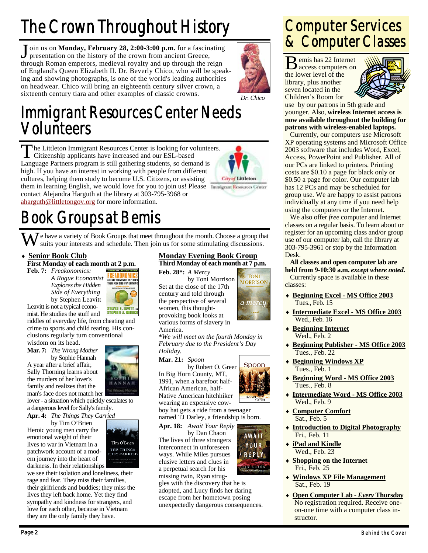## The Crown Throughout History

J oin us on **Monday, February 28, 2:00-3:00 p.m.** for a fascinating presentation on the history of the crown from ancient Greece, through Roman emperors, medieval royalty and up through the reign of England's Queen Elizabeth II. Dr. Beverly Chico, who will be speaking and showing photographs, is one of the world's leading authorities on headwear. Chico will bring an eighteenth century silver crown, a sixteenth century tiara and other examples of classic crowns. *Dr. Chico* 



### Immigrant Resources Center Needs Volunteers

The Littleton Immigrant Resources Center is looking for volunteers.<br>Citizenship applicants have increased and our ESL-based Language Partners program is still gathering students, so demand is high. If you have an interest in working with people from different cultures, helping them study to become U.S. Citizens, or assisting them in learning English, we would love for you to join us! Please Immigrant Resources Center contact Alejandra Harguth at the library at 303-795-3968 or aharguth@littletongov.org for more information.



## Book Groups at Bemis

 $\bar{J}$  e have a variety of Book Groups that meet throughout the month. Choose a group that suits your interests and schedule. Then join us for some stimulating discussions.

#### **Senior Book Club**

**First Monday of each month at 2 p.m.** 

**Feb. 7:** *Freakonomics: A Rogue Economist Explores the Hidden Side of Everything*  by Stephen Leavitt



.<br>Revised and expanded edition

Leavitt is not a typical economist. He studies the stuff and

riddles of everyday life, from cheating and crime to sports and child rearing. His conclusions regularly turn conventional wisdom on its head.

**Mar. 7:** *The Wrong Mother*  by Sophie Hannah

A year after a brief affair, Sally Thorning learns about the murders of her lover's family and realizes that the man's face does not match her

lover - a situation which quickly escalates to a dangerous level for Sally's family.

**Apr. 4:** *The Things They Carried* 

by Tim O'Brien Heroic young men carry the emotional weight of their lives to war in Vietnam in a patchwork account of a modern journey into the heart of darkness. In their relationships



we see their isolation and loneliness, their rage and fear. They miss their families, their girlfriends and buddies; they miss the lives they left back home. Yet they find sympathy and kindness for strangers, and love for each other, because in Vietnam they are the only family they have.

#### **Monday Evening Book Group**

**Third Monday of each month at 7 p.m.** 

**Feb. 28\*:** *A Mercy*  by Toni Morrison Set at the close of the 17th century and told through the perspective of several women, this thoughtprovoking book looks at various forms of slavery in America.

**\****We will meet on the fourth Monday in February due to the President's Day Holiday.* 

#### **Mar. 21:** *Spoon*

by Robert O. Greer In Big Horn County, MT, 1991, when a barefoot half-African American, half-Native American hitchhiker wearing an expensive cow-

**Spoo** 

**AWAIT** 

YUUR

REPLY **ANCOHACT** 

**TOMI** 

**MORRISON** 

a mercu

boy hat gets a ride from a teenager

named TJ Darley, a friendship is born. **Apr. 18:** *Await Your Reply* 

by Dan Chaon The lives of three strangers interconnect in unforeseen ways. While Miles pursues elusive letters and clues in a perpetual search for his missing twin, Ryan strug-

gles with the discovery that he is adopted, and Lucy finds her daring escape from her hometown posing unexpectedly dangerous consequences.



B emis has 22 Internet access computers on the lower level of the library, plus another seven located in the Children's Room for



use by our patrons in 5th grade and younger. Also, **wireless Internet access is now available throughout the building for patrons with wireless-enabled laptops.**

 Currently, our computers use Microsoft XP operating systems and Microsoft Office 2003 software that includes Word, Excel, Access, PowerPoint and Publisher. All of our PCs are linked to printers. Printing costs are \$0.10 a page for black only or \$0.50 a page for color. Our computer lab has 12 PCs and may be scheduled for group use. We are happy to assist patrons individually at any time if you need help using the computers or the Internet.

 We also offer *free* computer and Internet classes on a regular basis. To learn about or register for an upcoming class and/or group use of our computer lab, call the library at 303-795-3961 or stop by the Information Desk.

**All classes and open computer lab are held from 9-10:30 a.m.** *except where noted.* Currently space is available in these classes:

- **Beginning Excel MS Office 2003** Tues., Feb. 15
- **Intermediate Excel MS Office 2003** Wed., Feb. 16
- **Beginning Internet** Wed., Feb. 2
- **Beginning Publisher MS Office 2003** Tues., Feb. 22
- **Beginning Windows XP** Tues., Feb. 1
- **Beginning Word MS Office 2003** Tues., Feb. 8
- **Intermediate Word MS Office 2003** Wed., Feb. 9
- **Computer Comfort** Sat., Feb. 5
- **Introduction to Digital Photography** Fri., Feb. 11
- **iPad and Kindle** Wed., Feb. 23
- **Shopping on the Internet** Fri., Feb. 25
- **Windows XP File Management** Sat., Feb. 19
- **Open Computer Lab** *Every* **Thursday** No registration required. Receive oneon-one time with a computer class instructor.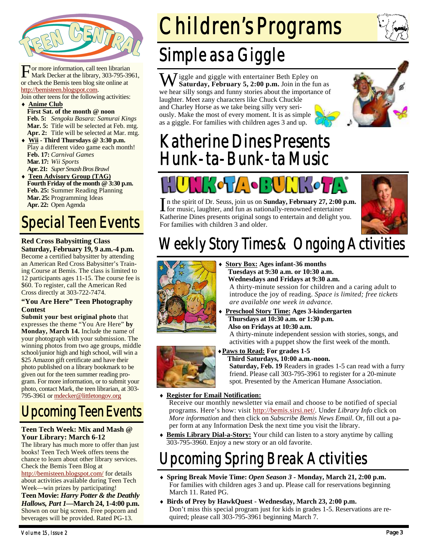

For more information, call teen librarian<br>Mark Decker at the library, 303-795-3961, or check the Bemis teen blog site online at http://bemisteen.blogspot.com.

Join other teens for the following activities:

#### **Anime Club First Sat. of the month @ noon Feb. 5:** *Sengoku Basara: Samurai Kings* Mar. 5: Title will be selected at Feb. mtg. **Apr. 2:** Title will be selected at Mar. mtg.

- **Wii Third Thursdays @ 3:30 p.m.**  Play a different video game each month! **Feb. 17:** *Carnival Games*  **Mar. 17:** *Wii Sports*  **Apr. 21:** *Super Smash Bros Brawl*
- **Teen Advisory Group (TAG) Fourth Friday of the month @ 3:30 p.m. Feb. 25:** Summer Reading Planning **Mar. 25:** Programming Ideas **Apr. 22:** Open Agenda

### Special Teen Events

#### **Red Cross Babysitting Class Saturday, February 19, 9 a.m.-4 p.m.**

Become a certified babysitter by attending an American Red Cross Babysitter's Training Course at Bemis. The class is limited to 12 participants ages 11-15. The course fee is \$60. To register, call the American Red Cross directly at 303-722-7474.

#### **"You Are Here" Teen Photography Contest**

**Submit your best original photo** that expresses the theme "You Are Here" **by Monday, March 14.** Include the name of your photograph with your submission. The winning photos from two age groups, middle school/junior high and high school, will win a \$25 Amazon gift certificate and have their photo published on a library bookmark to be given out for the teen summer reading program. For more information, or to submit your photo, contact Mark, the teen librarian, at 303- 795-3961 or mdecker@littletongov.org

### Upcoming Teen Events

#### **Teen Tech Week: Mix and Mash @ Your Library: March 6-12**

The library has much more to offer than just books! Teen Tech Week offers teens the chance to learn about other library services. Check the Bemis Teen Blog at

http://bemisteen.blogspot.com/ for details about activities available during Teen Tech Week—win prizes by participating!

**Teen Movie:** *Harry Potter & the Deathly Hallows, Part 1—***March 24, 1-4:00 p.m.**  Shown on our big screen. Free popcorn and beverages will be provided. Rated PG-13.

# Children's Programs

## Simple as a Giggle

W iggle and giggle with entertainer Beth Epley on **Saturday, February 5, 2:00 p.m.** Join in the fun as we hear silly songs and funny stories about the importance of laughter. Meet zany characters like Chuck Chuckle and Charley Horse as we take being silly very seriously. Make the most of every moment. It is as simple as a giggle. For families with children ages 3 and up.



#### Katherine Dines Presents Hunk-ta-Bunk-ta Music



In the spirit of Dr. Seuss, join us on **Sunday, February 27, 2:00 p.m.**<br> **I** for music, laughter, and fun as nationally-renowned entertainer Katherine Dines presents original songs to entertain and delight you. For families with children 3 and older.



## Weekly Story Times & Ongoing Activities



- **Story Box: Ages infant-36 months Tuesdays at 9:30 a.m. or 10:30 a.m. Wednesdays and Fridays at 9:30 a.m.**  A thirty-minute session for children and a caring adult to introduce the joy of reading. *Space is limited; free tickets are available one week in advance.*
- **Preschool Story Time: Ages 3-kindergarten Thursdays at 10:30 a.m. or 1:30 p.m. Also on Fridays at 10:30 a.m.**  A thirty-minute independent session with stories, songs, and activities with a puppet show the first week of the month.



**Paws to Read: For grades 1-5 Third Saturdays, 10:00 a.m.-noon.** 

**Saturday, Feb. 19** Readers in grades 1-5 can read with a furry friend. Please call 303-795-3961 to register for a 20-minute spot. Presented by the American Humane Association.

#### **Register for Email Notification:**

Receive our monthly newsletter via email and choose to be notified of special programs. Here's how: visit http://bemis.sirsi.net/. Under *Library Info* click on *More information* and then click on *Subscribe Bemis News Email*. Or, fill out a paper form at any Information Desk the next time you visit the library.

 **Bemis Library Dial-a-Story:** Your child can listen to a story anytime by calling 303-795-3960. Enjoy a new story or an old favorite.

### Upcoming Spring Break Activities

- **Spring Break Movie Time:** *Open Season 3* **Monday, March 21, 2:00 p.m.** For families with children ages 3 and up. Please call for reservations beginning March 11. Rated PG.
- **Birds of Prey by HawkQuest Wednesday, March 23, 2:00 p.m.**  Don't miss this special program just for kids in grades 1-5. Reservations are required; please call 303-795-3961 beginning March 7.